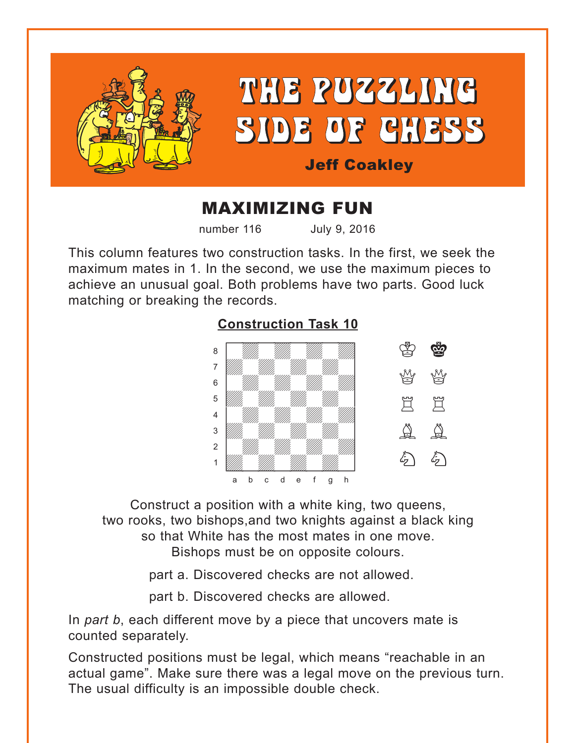<span id="page-0-0"></span>

# MAXIMIZING FUN

number 116 July 9, 2016

This column features two construction tasks. In the first, we seek the maximum mates in 1. In the second, we use the maximum pieces to achieve an unusual goal. Both problems have two parts. Good luck matching or breaking the records.



Construct a position with a white king, two queens, two rooks, two bishops,and two knights against a black king so that White has the most mates in one move. Bishops must be on opposite colours.

part a. Discovered checks are not allowed.

part b. Discovered checks are allowed.

In *part b*, each different move by a piece that uncovers mate is counted separately.

Constructed positions must be legal, which means "reachable in an actual game". Make sure there was a legal move on the previous turn. The usual difficulty is an impossible double check.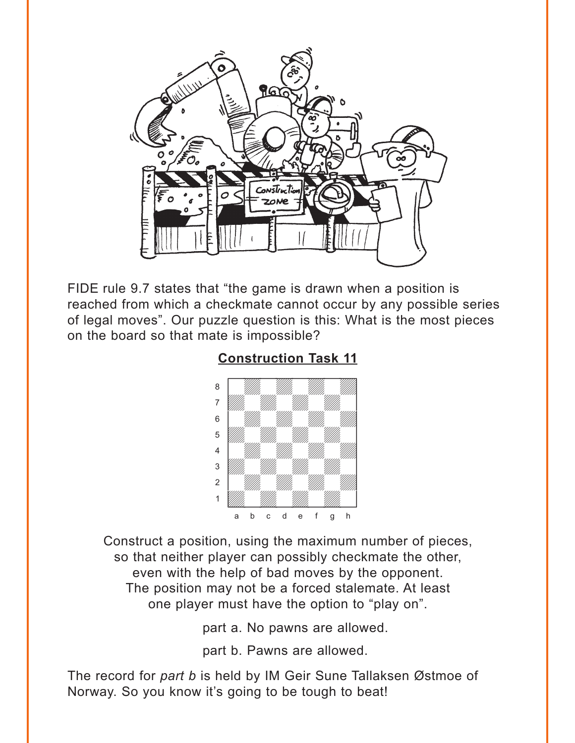<span id="page-1-0"></span>

FIDE rule 9.7 states that "the game is drawn when a position is reached from which a checkmate cannot occur by any possible series of legal moves". Our puzzle question is this: What is the most pieces on the board so that mate is impossible?

### **[Construction Task 11](#page-3-0)**



Construct a position, using the maximum number of pieces, so that neither player can possibly checkmate the other, even with the help of bad moves by the opponent. The position may not be a forced stalemate. At least one player must have the option to "play on".

part a. No pawns are allowed.

part b. Pawns are allowed.

The record for *part b* is held by IM Geir Sune Tallaksen Østmoe of Norway. So you know it's going to be tough to beat!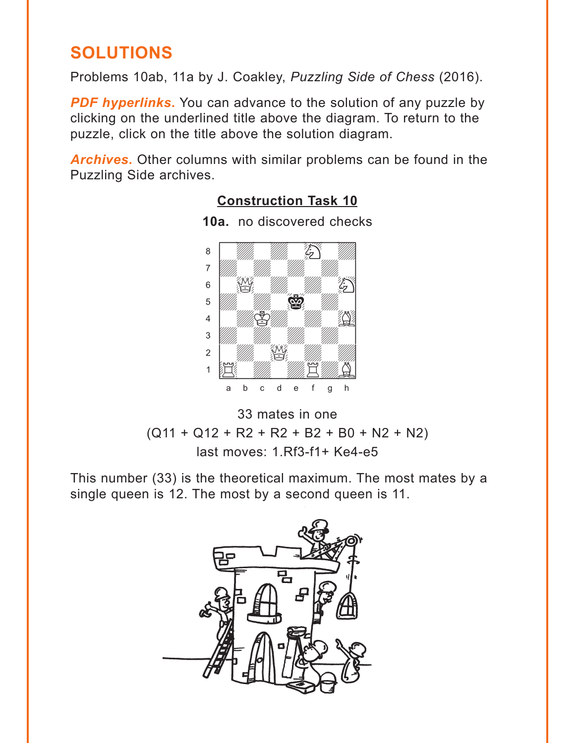## <span id="page-2-0"></span>**SOLUTIONS**

Problems 10ab, 11a by J. Coakley, *Puzzling Side of Chess* (2016).

**PDF hyperlinks.** You can advance to the solution of any puzzle by clicking on the underlined title above the diagram. To return to the puzzle, click on the title above the solution diagram.

*Archives***.** Other columns with similar problems can be found in the Puzzling Side archives.

### with the sum of the sum of the sum of the sum of the sum of the sum of the sum of the sum of the sum of the sum of the sum of the sum of the sum of the sum of the sum of the sum of the sum of the sum of the sum of the sum  $\begin{matrix} \bullet & \bullet \end{matrix}$ adwadwadwadwadwadwadwadwadwadwadwa  $\begin{bmatrix} 6 \end{bmatrix}$   $\begin{bmatrix} 80 \end{bmatrix}$   $\begin{bmatrix} 1 \end{bmatrix}$  $\mathbf{S}=\mathbf{W}$  with  $\mathbf{S}=\mathbf{W}$ 4 | *William Chamberland* William Chamberland Chamberland Chamberland Chamberland Chamberland Chamberland Chamberland Chamberland Chamberland Chamberland Chamberland Chamberland Chamberland Chamberland Chamberland Chamberl 3 *William William William William William William William William William William William William William William W* 2 *William Review* 1 E WA WA E WAS a b c d e f g h

**10a.** no discovered checks

**[Construction Task 10](#page-0-0)**



This number (33) is the theoretical maximum. The most mates by a single queen is 12. The most by a second queen is 11.

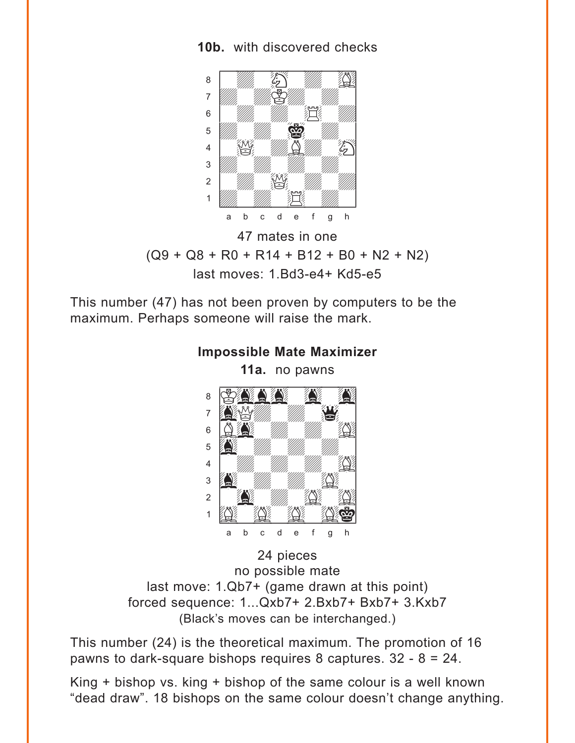#### <span id="page-3-0"></span>**10b.** with discovered checks



47 mates in one  $(Q9 + Q8 + R0 + R14 + B12 + B0 + N2 + N2)$ last moves: 1.Bd3-e4+ Kd5-e5

This number (47) has not been proven by computers to be the maximum. Perhaps someone will raise the mark.



24 pieces no possible mate last move: 1.Qb7+ (game drawn at this point) forced sequence: 1...Qxb7+ 2.Bxb7+ Bxb7+ 3.Kxb7 (Black's moves can be interchanged.)

This number (24) is the theoretical maximum. The promotion of 16 pawns to dark-square bishops requires 8 captures.  $32 - 8 = 24$ .

King + bishop vs. king + bishop of the same colour is a well known "dead draw". 18 bishops on the same colour doesn't change anything.

## **[Impossible Mate Maximizer](#page-1-0)**